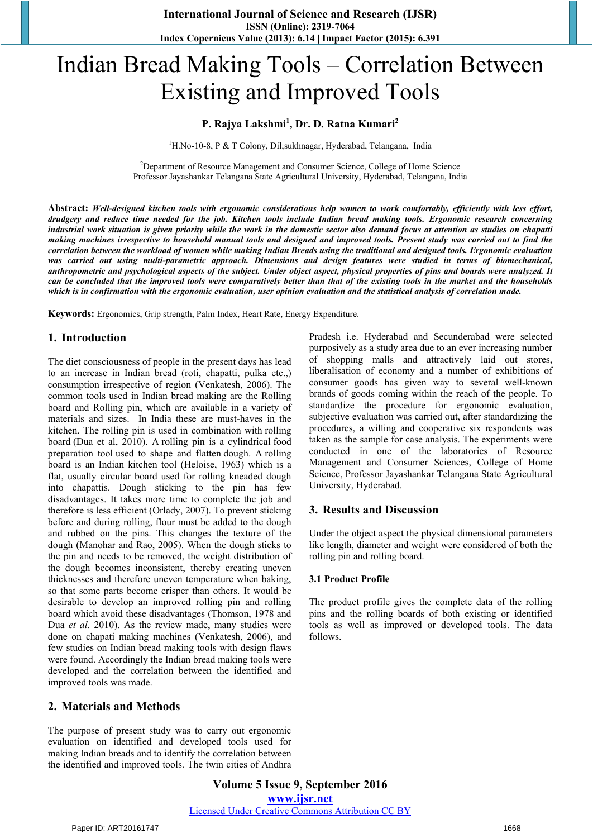# Indian Bread Making Tools – Correlation Between Existing and Improved Tools

## **P. Rajya Lakshmi<sup>1</sup> , Dr. D. Ratna Kumari<sup>2</sup>**

<sup>1</sup>H.No-10-8, P & T Colony, Dil;sukhnagar, Hyderabad, Telangana, India

<sup>2</sup>Department of Resource Management and Consumer Science, College of Home Science Professor Jayashankar Telangana State Agricultural University, Hyderabad, Telangana, India

**Abstract:** *Well-designed kitchen tools with ergonomic considerations help women to work comfortably, efficiently with less effort, drudgery and reduce time needed for the job. Kitchen tools include Indian bread making tools. Ergonomic research concerning industrial work situation is given priority while the work in the domestic sector also demand focus at attention as studies on chapatti making machines irrespective to household manual tools and designed and improved tools. Present study was carried out to find the correlation between the workload of women while making Indian Breads using the traditional and designed tools. Ergonomic evaluation was carried out using multi-parametric approach. Dimensions and design features were studied in terms of biomechanical, anthropometric and psychological aspects of the subject. Under object aspect, physical properties of pins and boards were analyzed. It can be concluded that the improved tools were comparatively better than that of the existing tools in the market and the households which is in confirmation with the ergonomic evaluation, user opinion evaluation and the statistical analysis of correlation made.* 

**Keywords:** Ergonomics, Grip strength, Palm Index, Heart Rate, Energy Expenditure.

## **1. Introduction**

The diet consciousness of people in the present days has lead to an increase in Indian bread (roti, chapatti, pulka etc.,) consumption irrespective of region (Venkatesh, 2006). The common tools used in Indian bread making are the Rolling board and Rolling pin, which are available in a variety of materials and sizes. In India these are must-haves in the kitchen. The rolling pin is used in combination with rolling board (Dua et al, 2010). A rolling pin is a cylindrical food preparation tool used to shape and flatten dough. A rolling board is an Indian kitchen tool (Heloise, 1963) which is a flat, usually circular board used for rolling kneaded dough into chapattis. Dough sticking to the pin has few disadvantages. It takes more time to complete the job and therefore is less efficient (Orlady, 2007). To prevent sticking before and during rolling, flour must be added to the dough and rubbed on the pins. This changes the texture of the dough (Manohar and Rao, 2005). When the dough sticks to the pin and needs to be removed, the weight distribution of the dough becomes inconsistent, thereby creating uneven thicknesses and therefore uneven temperature when baking, so that some parts become crisper than others. It would be desirable to develop an improved rolling pin and rolling board which avoid these disadvantages (Thomson, 1978 and Dua *et al.* 2010). As the review made, many studies were done on chapati making machines (Venkatesh, 2006), and few studies on Indian bread making tools with design flaws were found. Accordingly the Indian bread making tools were developed and the correlation between the identified and improved tools was made.

## **2. Materials and Methods**

The purpose of present study was to carry out ergonomic evaluation on identified and developed tools used for making Indian breads and to identify the correlation between the identified and improved tools. The twin cities of Andhra Pradesh i.e. Hyderabad and Secunderabad were selected purposively as a study area due to an ever increasing number of shopping malls and attractively laid out stores, liberalisation of economy and a number of exhibitions of consumer goods has given way to several well-known brands of goods coming within the reach of the people. To standardize the procedure for ergonomic evaluation, subjective evaluation was carried out, after standardizing the procedures, a willing and cooperative six respondents was taken as the sample for case analysis. The experiments were conducted in one of the laboratories of Resource Management and Consumer Sciences, College of Home Science, Professor Jayashankar Telangana State Agricultural University, Hyderabad.

## **3. Results and Discussion**

Under the object aspect the physical dimensional parameters like length, diameter and weight were considered of both the rolling pin and rolling board.

#### **3.1 Product Profile**

The product profile gives the complete data of the rolling pins and the rolling boards of both existing or identified tools as well as improved or developed tools. The data follows.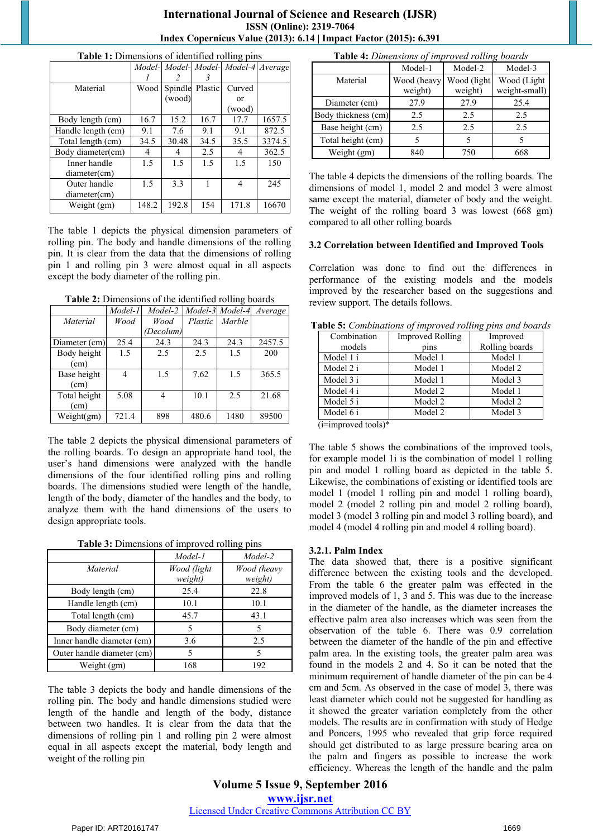## **International Journal of Science and Research (IJSR) ISSN (Online): 2319-7064 Index Copernicus Value (2013): 6.14 | Impact Factor (2015): 6.391**

|                    |       |        |                 | Model- Model- Model- Model-4 Average |        |
|--------------------|-------|--------|-----------------|--------------------------------------|--------|
|                    |       |        |                 |                                      |        |
|                    |       |        |                 |                                      |        |
| Material           | Wood  |        | Spindle Plastic | Curved                               |        |
|                    |       | (wood) |                 | or                                   |        |
|                    |       |        |                 | (wood)                               |        |
| Body length (cm)   | 16.7  | 15.2   | 16.7            | 17.7                                 | 1657.5 |
| Handle length (cm) | 9.1   | 7.6    | 9.1             | 9.1                                  | 872.5  |
| Total length (cm)  | 34.5  | 30.48  | 34.5            | 35.5                                 | 3374.5 |
| Body diameter(cm)  | 4     | 4      | 2.5             | 4                                    | 362.5  |
| Inner handle       | 1.5   | 1.5    | 1.5             | 1.5                                  | 150    |
| diameter(cm)       |       |        |                 |                                      |        |
| Outer handle       | 1.5   | 3.3    |                 | 4                                    | 245    |
| diameter(cm)       |       |        |                 |                                      |        |
| Weight (gm)        | 148.2 | 192.8  | 154             | 171.8                                | 16670  |

**Table 1:** Dimensions of identified rolling pins

The table 1 depicts the physical dimension parameters of rolling pin. The body and handle dimensions of the rolling pin. It is clear from the data that the dimensions of rolling pin 1 and rolling pin 3 were almost equal in all aspects except the body diameter of the rolling pin.

| Table 2: Dimensions of the identified rolling boards |  |
|------------------------------------------------------|--|
|------------------------------------------------------|--|

|               | Model-1 | Model-2   |         | Model-3 Model-4 | Average |
|---------------|---------|-----------|---------|-----------------|---------|
| Material      | Wood    | Wood      | Plastic | Marble          |         |
|               |         | (Decolum) |         |                 |         |
| Diameter (cm) | 25.4    | 24.3      | 24.3    | 24.3            | 2457.5  |
| Body height   | 1.5     | 2.5       | 2.5     | 1.5             | 200     |
| (cm)          |         |           |         |                 |         |
| Base height   | 4       | 1.5       | 7.62    | 1.5             | 365.5   |
| (cm)          |         |           |         |                 |         |
| Total height  | 5.08    | 4         | 10.1    | 2.5             | 21.68   |
| (cm)          |         |           |         |                 |         |
| Weight(gm)    | 721.4   | 898       | 480.6   | 1480            | 89500   |

The table 2 depicts the physical dimensional parameters of the rolling boards. To design an appropriate hand tool, the user's hand dimensions were analyzed with the handle dimensions of the four identified rolling pins and rolling boards. The dimensions studied were length of the handle, length of the body, diameter of the handles and the body, to analyze them with the hand dimensions of the users to design appropriate tools.

|  | Table 3: Dimensions of improved rolling pins |  |  |  |
|--|----------------------------------------------|--|--|--|
|  |                                              |  |  |  |

|                            | Model-1                | Model-2                |
|----------------------------|------------------------|------------------------|
| Material                   | Wood (light<br>weight) | Wood (heavy<br>weight) |
| Body length (cm)           | 25.4                   | 22.8                   |
| Handle length (cm)         | 10.1                   | 10.1                   |
| Total length (cm)          | 45.7                   | 43.1                   |
| Body diameter (cm)         | 5                      |                        |
| Inner handle diameter (cm) | 3.6                    | 2.5                    |
| Outer handle diameter (cm) | 5                      |                        |
| Weight (gm)                | 168                    | 192                    |

The table 3 depicts the body and handle dimensions of the rolling pin. The body and handle dimensions studied were length of the handle and length of the body, distance between two handles. It is clear from the data that the dimensions of rolling pin 1 and rolling pin 2 were almost equal in all aspects except the material, body length and weight of the rolling pin

| Table 4: Dimensions of improved rolling boards |                        |                        |                              |  |  |
|------------------------------------------------|------------------------|------------------------|------------------------------|--|--|
|                                                | Model-1                | Model-2                | Model-3                      |  |  |
| Material                                       | Wood (heavy<br>weight) | Wood (light<br>weight) | Wood (Light<br>weight-small) |  |  |
| Diameter (cm)                                  | 27.9                   | 27.9                   | 25.4                         |  |  |
| Body thickness (cm)                            | 2.5                    | 2.5                    | 2.5                          |  |  |
| Base height (cm)                               | 2.5                    | 2.5                    | 2.5                          |  |  |
| Total height (cm)                              | 5                      | 5                      |                              |  |  |
| Weight (gm)                                    | 840                    | 750                    | 668                          |  |  |

The table 4 depicts the dimensions of the rolling boards. The dimensions of model 1, model 2 and model 3 were almost same except the material, diameter of body and the weight. The weight of the rolling board 3 was lowest (668 gm) compared to all other rolling boards

#### **3.2 Correlation between Identified and Improved Tools**

Correlation was done to find out the differences in performance of the existing models and the models improved by the researcher based on the suggestions and review support. The details follows.

| abic or comomanons of improved round pins and board |                         |                |  |  |  |  |
|-----------------------------------------------------|-------------------------|----------------|--|--|--|--|
| Combination                                         | <b>Improved Rolling</b> | Improved       |  |  |  |  |
| models                                              | pins                    | Rolling boards |  |  |  |  |
| Model 1 i                                           | Model 1                 | Model 1        |  |  |  |  |
| Model 2 i                                           | Model 1                 | Model 2        |  |  |  |  |
| Model 3 i                                           | Model 1                 | Model 3        |  |  |  |  |
| Model 4 i                                           | Model 2                 | Model 1        |  |  |  |  |
| Model 5 i                                           | Model 2                 | Model 2        |  |  |  |  |
| Model 6 i                                           | Model 2                 | Model 3        |  |  |  |  |
| $(i = \text{improved}$                              |                         |                |  |  |  |  |

**Table 5:** *Combinations of improved rolling pins and boards*

 $(i=$ improved tools)

The table 5 shows the combinations of the improved tools, for example model 1i is the combination of model 1 rolling pin and model 1 rolling board as depicted in the table 5. Likewise, the combinations of existing or identified tools are model 1 (model 1 rolling pin and model 1 rolling board), model 2 (model 2 rolling pin and model 2 rolling board), model 3 (model 3 rolling pin and model 3 rolling board), and model 4 (model 4 rolling pin and model 4 rolling board).

#### **3.2.1. Palm Index**

The data showed that, there is a positive significant difference between the existing tools and the developed. From the table 6 the greater palm was effected in the improved models of 1, 3 and 5. This was due to the increase in the diameter of the handle, as the diameter increases the effective palm area also increases which was seen from the observation of the table 6. There was 0.9 correlation between the diameter of the handle of the pin and effective palm area. In the existing tools, the greater palm area was found in the models 2 and 4. So it can be noted that the minimum requirement of handle diameter of the pin can be 4 cm and 5cm. As observed in the case of model 3, there was least diameter which could not be suggested for handling as it showed the greater variation completely from the other models. The results are in confirmation with study of Hedge and Poncers, 1995 who revealed that grip force required should get distributed to as large pressure bearing area on the palm and fingers as possible to increase the work efficiency. Whereas the length of the handle and the palm

**Volume 5 Issue 9, September 2016 www.ijsr.net** Licensed Under Creative Commons Attribution CC BY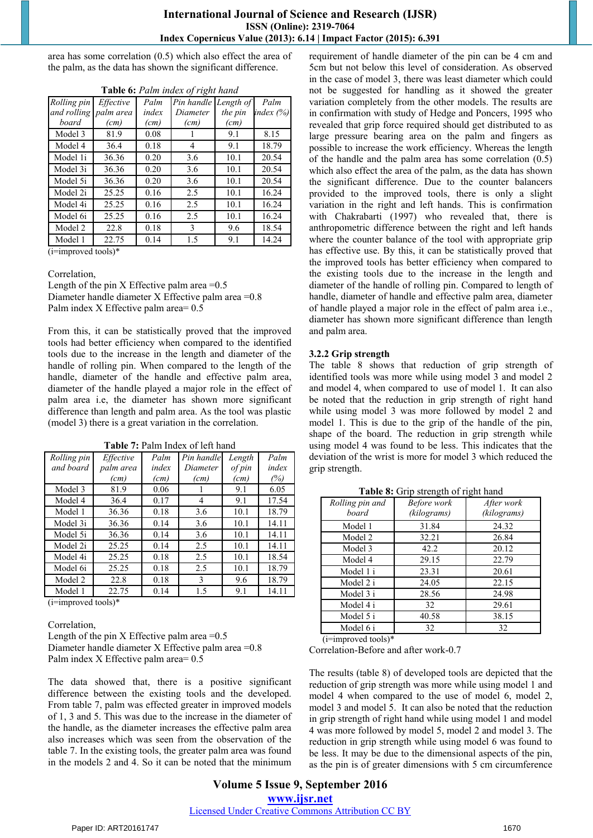area has some correlation (0.5) which also effect the area of the palm, as the data has shown the significant difference.

| Rolling pin | Effective | Palm  | Pin handle | Length of | Palm      |
|-------------|-----------|-------|------------|-----------|-----------|
| and rolling | palm area | index | Diameter   | the pin   | index (%) |
| board       | (cm)      | (cm)  | (cm)       | (cm)      |           |
| Model 3     | 81.9      | 0.08  |            | 9.1       | 8.15      |
| Model 4     | 36.4      | 0.18  | 4          | 9.1       | 18.79     |
| Model 1i    | 36.36     | 0.20  | 3.6        | 10.1      | 20.54     |
| Model 3i    | 36.36     | 0.20  | 3.6        | 10.1      | 20.54     |
| Model 5i    | 36.36     | 0.20  | 3.6        | 10.1      | 20.54     |
| Model 2i    | 25.25     | 0.16  | 2.5        | 10.1      | 16.24     |
| Model 4i    | 25.25     | 0.16  | 2.5        | 10.1      | 16.24     |
| Model 6i    | 25.25     | 0.16  | 2.5        | 10.1      | 16.24     |
| Model 2     | 22.8      | 0.18  | 3          | 9.6       | 18.54     |
| Model 1     | 22.75     | 0.14  | 1.5        | 9.1       | 14.24     |

**Table 6:** *Palm index of right hand*

 $(i=$ improved tools)\*

Correlation,

Length of the pin X Effective palm area  $=0.5$ Diameter handle diameter X Effective palm area =0.8 Palm index X Effective palm area= 0.5

From this, it can be statistically proved that the improved tools had better efficiency when compared to the identified tools due to the increase in the length and diameter of the handle of rolling pin. When compared to the length of the handle, diameter of the handle and effective palm area, diameter of the handle played a major role in the effect of palm area i.e, the diameter has shown more significant difference than length and palm area. As the tool was plastic (model 3) there is a great variation in the correlation.

| Rolling pin | Effective | Palm  | Pin handle | Length | Palm  |
|-------------|-----------|-------|------------|--------|-------|
| and board   | palm area | index | Diameter   | of pin | index |
|             | (cm)      | (cm)  | (cm)       | (cm)   | (%)   |
| Model 3     | 81.9      | 0.06  |            | 9.1    | 6.05  |
| Model 4     | 36.4      | 0.17  | 4          | 9.1    | 17.54 |
| Model 1     | 36.36     | 0.18  | 3.6        | 10.1   | 18.79 |
| Model 3i    | 36.36     | 0.14  | 3.6        | 10.1   | 14.11 |
| Model 5i    | 36.36     | 0.14  | 3.6        | 10.1   | 14.11 |
| Model 2i    | 25.25     | 0.14  | 2.5        | 10.1   | 14.11 |
| Model 4i    | 25.25     | 0.18  | 2.5        | 10.1   | 18.54 |
| Model 6i    | 25.25     | 0.18  | 2.5        | 10.1   | 18.79 |
| Model 2     | 22.8      | 0.18  | 3          | 9.6    | 18.79 |
| Model 1     | 22.75     | 0.14  | 1.5        | 9.1    | 14.11 |

**Table 7:** Palm Index of left hand

(i=improved tools)\*

Correlation,

Length of the pin X Effective palm area  $=0.5$ Diameter handle diameter X Effective palm area =0.8 Palm index X Effective palm area= 0.5

The data showed that, there is a positive significant difference between the existing tools and the developed. From table 7, palm was effected greater in improved models of 1, 3 and 5. This was due to the increase in the diameter of the handle, as the diameter increases the effective palm area also increases which was seen from the observation of the table 7. In the existing tools, the greater palm area was found in the models 2 and 4. So it can be noted that the minimum requirement of handle diameter of the pin can be 4 cm and 5cm but not below this level of consideration. As observed in the case of model 3, there was least diameter which could not be suggested for handling as it showed the greater variation completely from the other models. The results are in confirmation with study of Hedge and Poncers, 1995 who revealed that grip force required should get distributed to as large pressure bearing area on the palm and fingers as possible to increase the work efficiency. Whereas the length of the handle and the palm area has some correlation (0.5) which also effect the area of the palm, as the data has shown the significant difference. Due to the counter balancers provided to the improved tools, there is only a slight variation in the right and left hands. This is confirmation with Chakrabarti (1997) who revealed that, there is anthropometric difference between the right and left hands where the counter balance of the tool with appropriate grip has effective use. By this, it can be statistically proved that the improved tools has better efficiency when compared to the existing tools due to the increase in the length and diameter of the handle of rolling pin. Compared to length of handle, diameter of handle and effective palm area, diameter of handle played a major role in the effect of palm area i.e., diameter has shown more significant difference than length and palm area.

#### **3.2.2 Grip strength**

The table 8 shows that reduction of grip strength of identified tools was more while using model 3 and model 2 and model 4, when compared to use of model 1. It can also be noted that the reduction in grip strength of right hand while using model 3 was more followed by model 2 and model 1. This is due to the grip of the handle of the pin, shape of the board. The reduction in grip strength while using model 4 was found to be less. This indicates that the deviation of the wrist is more for model 3 which reduced the grip strength.

| Rolling pin and<br>board | Before work<br>(kilograms) | After work<br>(kilograms) |
|--------------------------|----------------------------|---------------------------|
| Model 1                  | 31.84                      | 24.32                     |
| Model 2                  | 32.21                      | 26.84                     |
| Model 3                  | 42.2                       | 20.12                     |
| Model 4                  | 29.15                      | 22.79                     |
| Model 1 i                | 23.31                      | 20.61                     |
| Model 2 i                | 24.05                      | 22.15                     |
| Model 3 i                | 28.56                      | 24.98                     |
| Model 4 i                | 32                         | 29.61                     |
| Model 5 i                | 40.58                      | 38.15                     |
| Model 6 i<br>$\cdots$    | 32                         | 32                        |

**Table 8:** Grip strength of right hand

(i=improved tools)\*

Correlation-Before and after work-0.7

The results (table 8) of developed tools are depicted that the reduction of grip strength was more while using model 1 and model 4 when compared to the use of model 6, model 2, model 3 and model 5. It can also be noted that the reduction in grip strength of right hand while using model 1 and model 4 was more followed by model 5, model 2 and model 3. The reduction in grip strength while using model 6 was found to be less. It may be due to the dimensional aspects of the pin, as the pin is of greater dimensions with 5 cm circumference

## **Volume 5 Issue 9, September 2016 www.ijsr.net** Licensed Under Creative Commons Attribution CC BY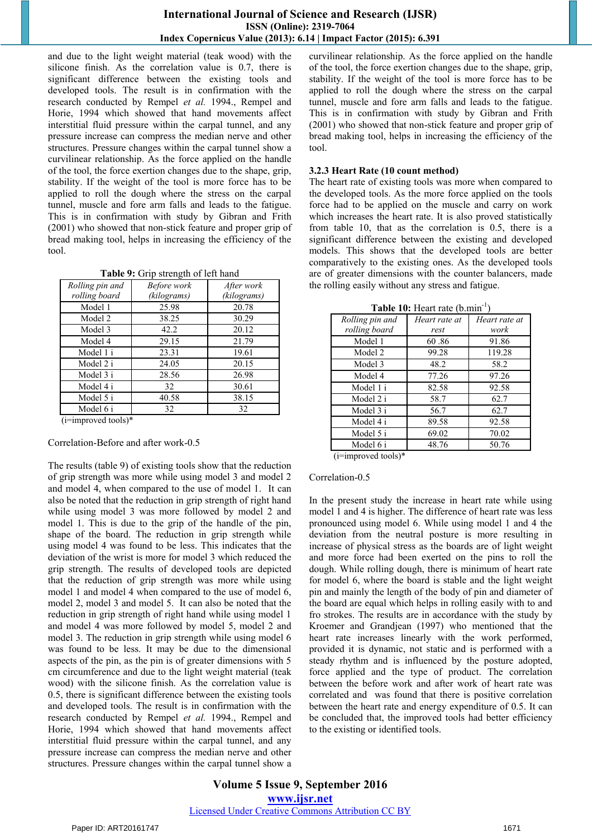and due to the light weight material (teak wood) with the silicone finish. As the correlation value is 0.7, there is significant difference between the existing tools and developed tools. The result is in confirmation with the research conducted by Rempel *et al.* 1994., Rempel and Horie, 1994 which showed that hand movements affect interstitial fluid pressure within the carpal tunnel, and any pressure increase can compress the median nerve and other structures. Pressure changes within the carpal tunnel show a curvilinear relationship. As the force applied on the handle of the tool, the force exertion changes due to the shape, grip, stability. If the weight of the tool is more force has to be applied to roll the dough where the stress on the carpal tunnel, muscle and fore arm falls and leads to the fatigue. This is in confirmation with study by Gibran and Frith (2001) who showed that non-stick feature and proper grip of bread making tool, helps in increasing the efficiency of the tool.

| Rolling pin and | Before work | After work  |
|-----------------|-------------|-------------|
| rolling board   | (kilograms) | (kilograms) |
| Model 1         | 25.98       | 20.78       |
| Model 2         | 38.25       | 30.29       |
| Model 3         | 42.2        | 20.12       |
| Model 4         | 29.15       | 21.79       |
| Model 1 i       | 23.31       | 19.61       |
| Model 2 i       | 24.05       | 20.15       |
| Model 3 i       | 28.56       | 26.98       |
| Model 4 i       | 32          | 30.61       |
| Model 5 i       | 40.58       | 38.15       |
| Model 6 i       | 32          | 32          |
| (1, 1)          |             |             |

(i=improved tools)\*

Correlation-Before and after work-0.5

The results (table 9) of existing tools show that the reduction of grip strength was more while using model 3 and model 2 and model 4, when compared to the use of model 1. It can also be noted that the reduction in grip strength of right hand while using model 3 was more followed by model 2 and model 1. This is due to the grip of the handle of the pin, shape of the board. The reduction in grip strength while using model 4 was found to be less. This indicates that the deviation of the wrist is more for model 3 which reduced the grip strength. The results of developed tools are depicted that the reduction of grip strength was more while using model 1 and model 4 when compared to the use of model 6, model 2, model 3 and model 5. It can also be noted that the reduction in grip strength of right hand while using model 1 and model 4 was more followed by model 5, model 2 and model 3. The reduction in grip strength while using model 6 was found to be less. It may be due to the dimensional aspects of the pin, as the pin is of greater dimensions with 5 cm circumference and due to the light weight material (teak wood) with the silicone finish. As the correlation value is 0.5, there is significant difference between the existing tools and developed tools. The result is in confirmation with the research conducted by Rempel *et al.* 1994., Rempel and Horie, 1994 which showed that hand movements affect interstitial fluid pressure within the carpal tunnel, and any pressure increase can compress the median nerve and other structures. Pressure changes within the carpal tunnel show a curvilinear relationship. As the force applied on the handle of the tool, the force exertion changes due to the shape, grip, stability. If the weight of the tool is more force has to be applied to roll the dough where the stress on the carpal tunnel, muscle and fore arm falls and leads to the fatigue. This is in confirmation with study by Gibran and Frith (2001) who showed that non-stick feature and proper grip of bread making tool, helps in increasing the efficiency of the tool.

#### **3.2.3 Heart Rate (10 count method)**

The heart rate of existing tools was more when compared to the developed tools. As the more force applied on the tools force had to be applied on the muscle and carry on work which increases the heart rate. It is also proved statistically from table 10, that as the correlation is 0.5, there is a significant difference between the existing and developed models. This shows that the developed tools are better comparatively to the existing ones. As the developed tools are of greater dimensions with the counter balancers, made the rolling easily without any stress and fatigue.

| <b>Table To:</b> Heart rate (b.min |               |               |
|------------------------------------|---------------|---------------|
| Rolling pin and                    | Heart rate at | Heart rate at |
| rolling board                      | rest          | work          |
| Model 1                            | 60.86         | 91.86         |
| Model 2                            | 99.28         | 119.28        |
| Model 3                            | 48.2          | 58.2          |
| Model 4                            | 77.26         | 97.26         |
| Model 1 i                          | 82.58         | 92.58         |
| Model 2 i                          | 58.7          | 62.7          |
| Model 3 i                          | 56.7          | 62.7          |
| Model 4 i                          | 89.58         | 92.58         |
| Model 5 i                          | 69.02         | 70.02         |
| Model 6 i                          | 48.76         | 50.76         |
| $C = 1$                            |               |               |

**Table 10:** Heart rate (b.min-1)

(i=improved tools)\*

#### Correlation-0.5

In the present study the increase in heart rate while using model 1 and 4 is higher. The difference of heart rate was less pronounced using model 6. While using model 1 and 4 the deviation from the neutral posture is more resulting in increase of physical stress as the boards are of light weight and more force had been exerted on the pins to roll the dough. While rolling dough, there is minimum of heart rate for model 6, where the board is stable and the light weight pin and mainly the length of the body of pin and diameter of the board are equal which helps in rolling easily with to and fro strokes. The results are in accordance with the study by Kroemer and Grandjean (1997) who mentioned that the heart rate increases linearly with the work performed, provided it is dynamic, not static and is performed with a steady rhythm and is influenced by the posture adopted, force applied and the type of product. The correlation between the before work and after work of heart rate was correlated and was found that there is positive correlation between the heart rate and energy expenditure of 0.5. It can be concluded that, the improved tools had better efficiency to the existing or identified tools.

**Volume 5 Issue 9, September 2016 www.ijsr.net** Licensed Under Creative Commons Attribution CC BY